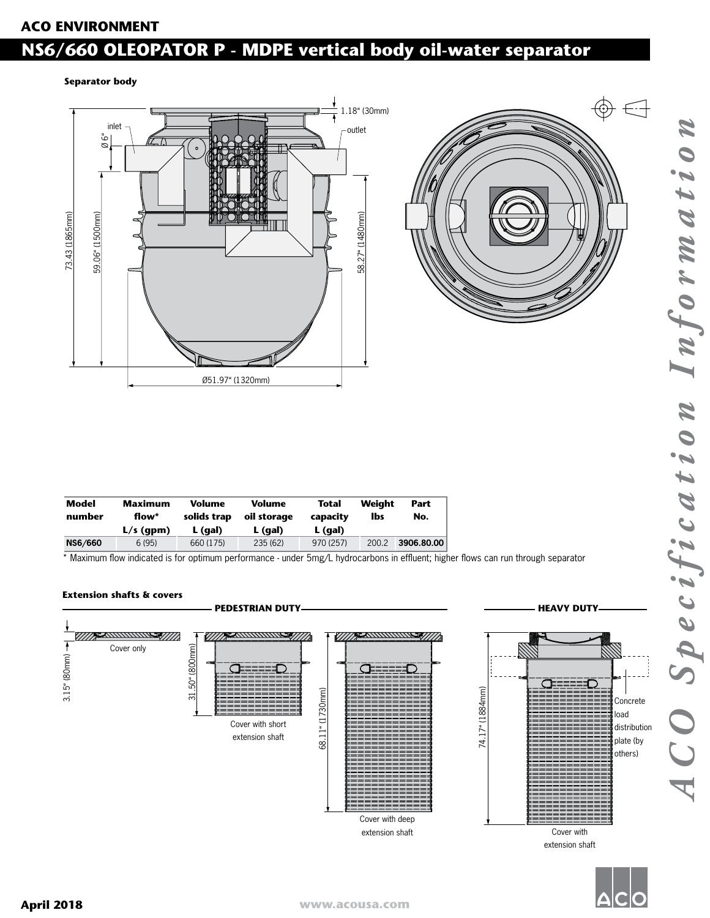## Ø 6" **ACO ENVIRONMENT**

## **NS6/660 OLEOPATOR P - MDPE vertical body oil-water separator**

#### **Separator body**





| Model<br>number | <b>Maximum</b><br>flow* | Volume<br>solids trap | Volume<br>oil storage | Total<br>capacity | Weiaht<br>lbs | Part<br>No. |
|-----------------|-------------------------|-----------------------|-----------------------|-------------------|---------------|-------------|
|                 | $L/s$ (gpm)             | L (gal)               | L (gal)               | $L$ (gal)         |               |             |
| NS6/660         | 6(95)                   | 660 (175)             | 235 (62)              | 970 (257)         | 200.2         | 3906.80.00  |

\* Maximum flow indicated is for optimum performance - under 5mg/L hydrocarbons in effluent; higher flows can run through separator

#### **Extension shafts & covers**



extension shaft



*ACO Specification Information*

CO Specification

Informati